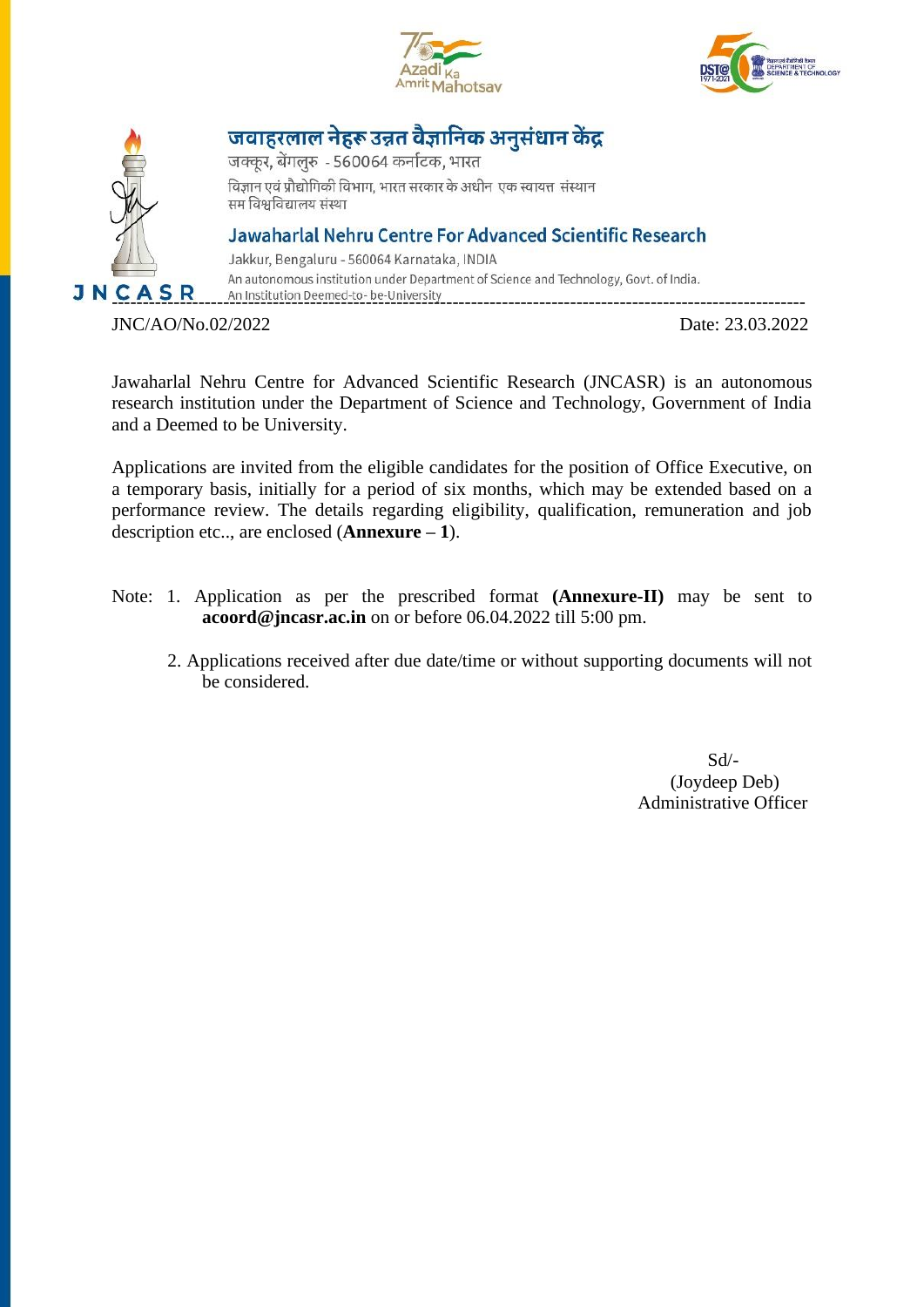





जवाहरलाल नेहरू उन्नत वैज्ञानिक अनुसंधान केंद्र

जक्कूर, बेंगलुरु - 560064 कर्नाटक, भारत विज्ञान एवं प्रौद्योगिकी विभाग, भारत सरकार के अधीन एक स्वायत्त संस्थान सम विश्वविद्यालय संस्था

Jawaharlal Nehru Centre For Advanced Scientific Research

Jakkur, Bengaluru - 560064 Karnataka, INDIA An autonomous institution under Department of Science and Technology, Govt. of India. **J N C A S R** An Institution Deemed-to- be-University

JNC/AO/No.02/2022 Date: 23.03.2022

Jawaharlal Nehru Centre for Advanced Scientific Research (JNCASR) is an autonomous research institution under the Department of Science and Technology, Government of India and a Deemed to be University.

Applications are invited from the eligible candidates for the position of Office Executive, on a temporary basis, initially for a period of six months, which may be extended based on a performance review. The details regarding eligibility, qualification, remuneration and job description etc.., are enclosed (**Annexure – 1**).

- Note: 1. Application as per the prescribed format **(Annexure-II)** may be sent to **acoord@jncasr.ac.in** on or before 06.04.2022 till 5:00 pm.
	- 2. Applications received after due date/time or without supporting documents will not be considered.

 Sd/- (Joydeep Deb) Administrative Officer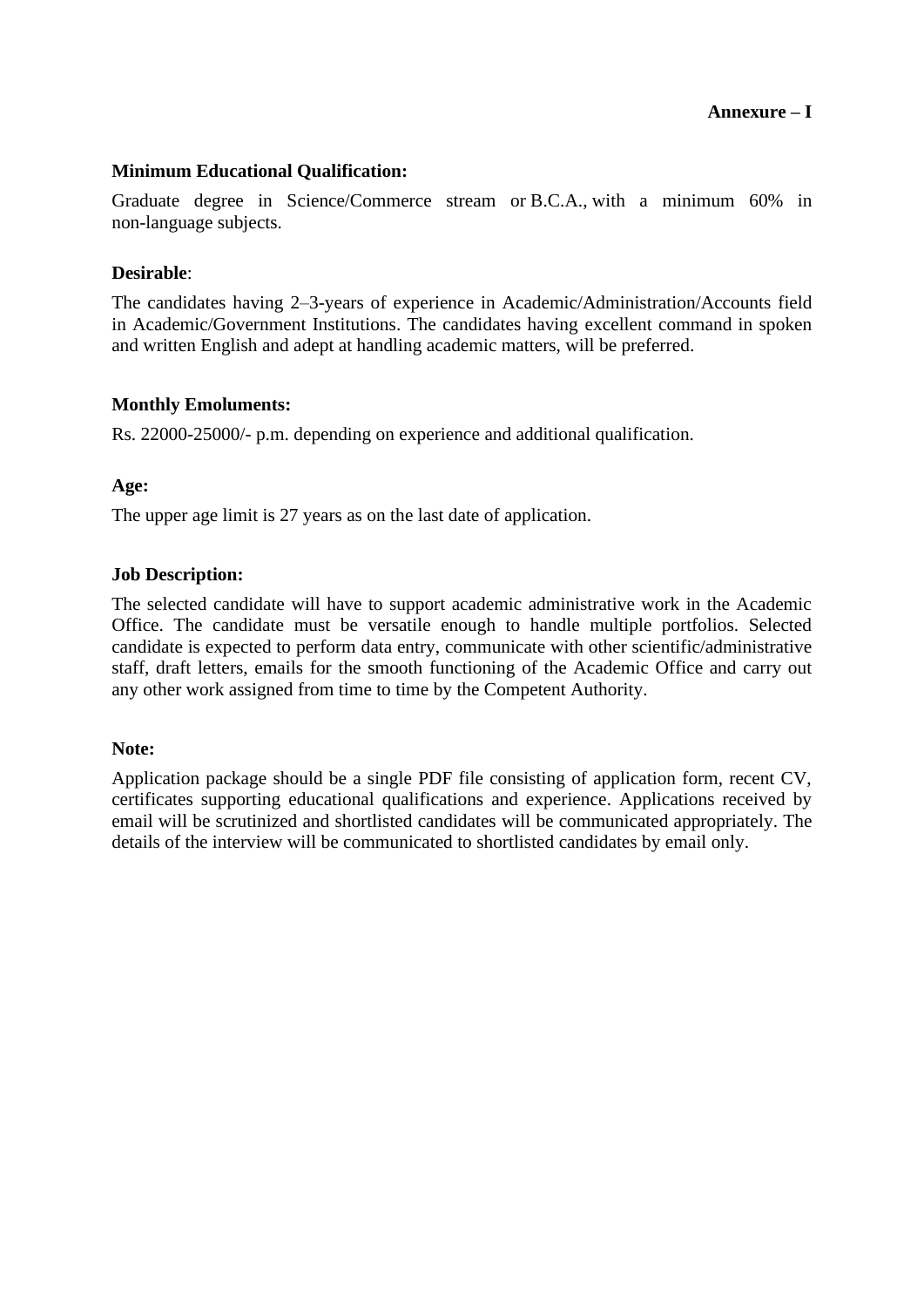## **Annexure – I**

### **Minimum Educational Qualification:**

Graduate degree in Science/Commerce stream or B.C.A., with a minimum 60% in non-language subjects.

#### **Desirable**:

The candidates having 2–3-years of experience in Academic/Administration/Accounts field in Academic/Government Institutions. The candidates having excellent command in spoken and written English and adept at handling academic matters, will be preferred.

#### **Monthly Emoluments:**

Rs. 22000-25000/- p.m. depending on experience and additional qualification.

#### **Age:**

The upper age limit is 27 years as on the last date of application.

#### **Job Description:**

The selected candidate will have to support academic administrative work in the Academic Office. The candidate must be versatile enough to handle multiple portfolios. Selected candidate is expected to perform data entry, communicate with other scientific/administrative staff, draft letters, emails for the smooth functioning of the Academic Office and carry out any other work assigned from time to time by the Competent Authority.

#### **Note:**

Application package should be a single PDF file consisting of application form, recent CV, certificates supporting educational qualifications and experience. Applications received by email will be scrutinized and shortlisted candidates will be communicated appropriately. The details of the interview will be communicated to shortlisted candidates by email only.